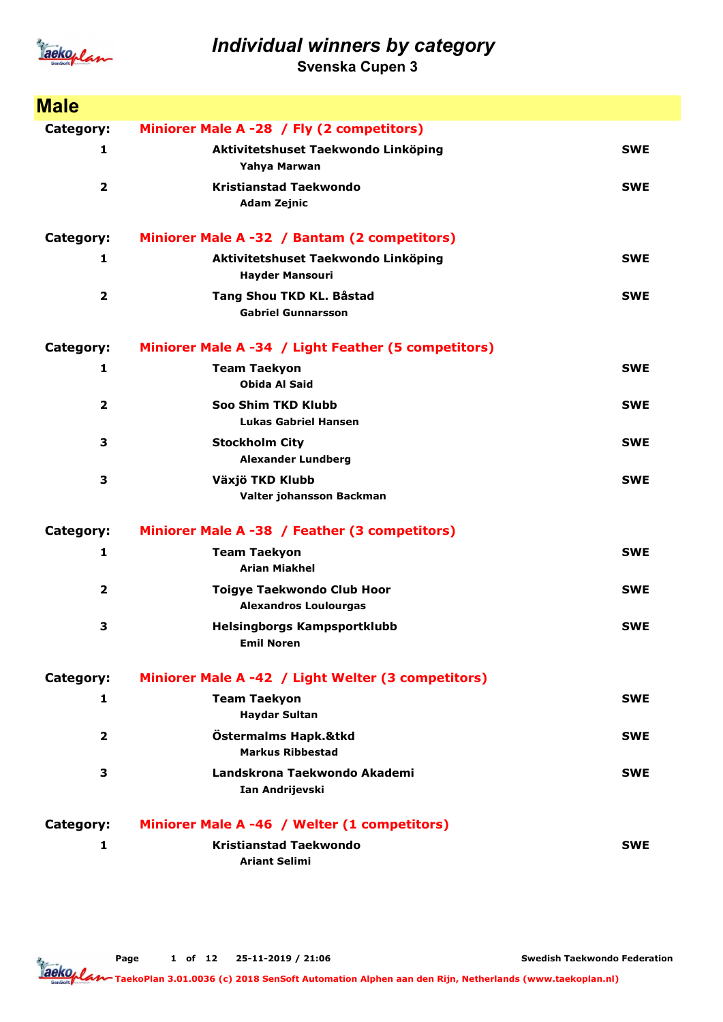

Svenska Cupen 3

| <b>Male</b>             |                                                                   |            |
|-------------------------|-------------------------------------------------------------------|------------|
| Category:               | Miniorer Male A -28 / Fly (2 competitors)                         |            |
| 1                       | Aktivitetshuset Taekwondo Linköping<br>Yahya Marwan               | <b>SWE</b> |
| $\overline{2}$          | <b>Kristianstad Taekwondo</b><br><b>Adam Zejnic</b>               | <b>SWE</b> |
| Category:               | Miniorer Male A -32 / Bantam (2 competitors)                      |            |
| 1                       | Aktivitetshuset Taekwondo Linköping<br><b>Hayder Mansouri</b>     | <b>SWE</b> |
| 2                       | Tang Shou TKD KL. Båstad<br><b>Gabriel Gunnarsson</b>             | <b>SWE</b> |
| Category:               | Miniorer Male A -34 / Light Feather (5 competitors)               |            |
| 1                       | <b>Team Taekyon</b><br><b>Obida Al Said</b>                       | <b>SWE</b> |
| 2                       | Soo Shim TKD Klubb<br><b>Lukas Gabriel Hansen</b>                 | <b>SWE</b> |
| 3                       | <b>Stockholm City</b><br><b>Alexander Lundberg</b>                | <b>SWE</b> |
| 3                       | Växjö TKD Klubb<br>Valter johansson Backman                       | <b>SWE</b> |
| Category:               | Miniorer Male A -38 / Feather (3 competitors)                     |            |
| 1                       | <b>Team Taekyon</b><br><b>Arian Miakhel</b>                       | <b>SWE</b> |
| $\overline{\mathbf{2}}$ | <b>Toigye Taekwondo Club Hoor</b><br><b>Alexandros Loulourgas</b> | <b>SWE</b> |
| 3                       | Helsingborgs Kampsportklubb<br><b>Emil Noren</b>                  | <b>SWE</b> |
| Category:               | Miniorer Male A -42 / Light Welter (3 competitors)                |            |
| 1                       | <b>Team Taekyon</b><br><b>Haydar Sultan</b>                       | <b>SWE</b> |
| $\overline{2}$          | Östermalms Hapk.&tkd<br><b>Markus Ribbestad</b>                   | <b>SWE</b> |
| 3                       | Landskrona Taekwondo Akademi<br>Ian Andrijevski                   | <b>SWE</b> |
| Category:               | Miniorer Male A -46 / Welter (1 competitors)                      |            |
| 1                       | <b>Kristianstad Taekwondo</b><br><b>Ariant Selimi</b>             | <b>SWE</b> |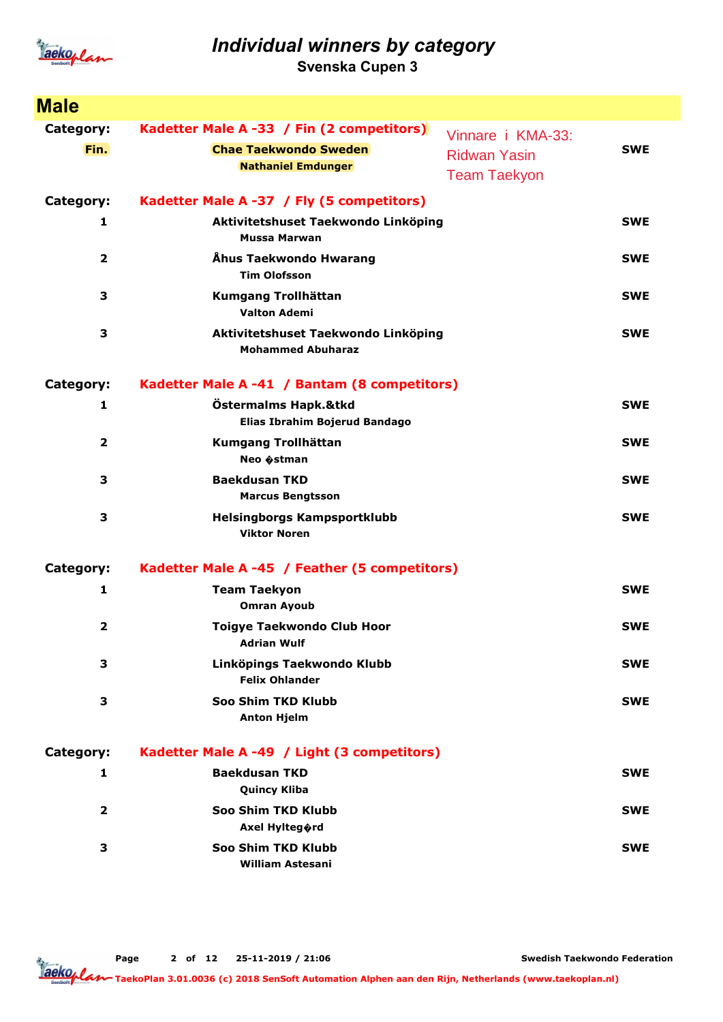

Svenska Cupen 3

| <b>Male</b>             |                                                                 |                                            |            |
|-------------------------|-----------------------------------------------------------------|--------------------------------------------|------------|
| Category:               | Kadetter Male A -33 / Fin (2 competitors)                       | Vinnare i KMA-33:                          |            |
| Fin.                    | <b>Chae Taekwondo Sweden</b><br><b>Nathaniel Emdunger</b>       | <b>Ridwan Yasin</b><br><b>Team Taekyon</b> | <b>SWE</b> |
| Category:               | Kadetter Male A -37 / Fly (5 competitors)                       |                                            |            |
| 1                       | Aktivitetshuset Taekwondo Linköping<br><b>Mussa Marwan</b>      |                                            | <b>SWE</b> |
| 2                       | Åhus Taekwondo Hwarang<br><b>Tim Olofsson</b>                   |                                            | <b>SWE</b> |
| 3                       | Kumgang Trollhättan<br><b>Valton Ademi</b>                      |                                            | <b>SWE</b> |
| 3                       | Aktivitetshuset Taekwondo Linköping<br><b>Mohammed Abuharaz</b> |                                            | <b>SWE</b> |
| Category:               | Kadetter Male A -41 / Bantam (8 competitors)                    |                                            |            |
| 1                       | Östermalms Hapk.&tkd<br>Elias Ibrahim Bojerud Bandago           |                                            | <b>SWE</b> |
| $\overline{\mathbf{2}}$ | Kumgang Trollhättan<br>Neo $\hat{\phi}$ stman                   |                                            | <b>SWE</b> |
| 3                       | <b>Baekdusan TKD</b><br><b>Marcus Bengtsson</b>                 |                                            | <b>SWE</b> |
| 3                       | Helsingborgs Kampsportklubb<br><b>Viktor Noren</b>              |                                            | <b>SWE</b> |
| Category:               | Kadetter Male A -45 / Feather (5 competitors)                   |                                            |            |
| 1                       | <b>Team Taekyon</b><br><b>Omran Ayoub</b>                       |                                            | <b>SWE</b> |
| 2                       | <b>Toigye Taekwondo Club Hoor</b><br><b>Adrian Wulf</b>         |                                            | <b>SWE</b> |
| 3                       | Linköpings Taekwondo Klubb<br><b>Felix Ohlander</b>             |                                            | <b>SWE</b> |
| 3                       | Soo Shim TKD Klubb<br><b>Anton Hjelm</b>                        |                                            | <b>SWE</b> |
| Category:               | Kadetter Male A -49 / Light (3 competitors)                     |                                            |            |
| 1                       | <b>Baekdusan TKD</b><br><b>Quincy Kliba</b>                     |                                            | <b>SWE</b> |
| $\overline{\mathbf{2}}$ | Soo Shim TKD Klubb<br>Axel Hylteg�rd                            |                                            | <b>SWE</b> |
| 3                       | Soo Shim TKD Klubb<br><b>William Astesani</b>                   |                                            | <b>SWE</b> |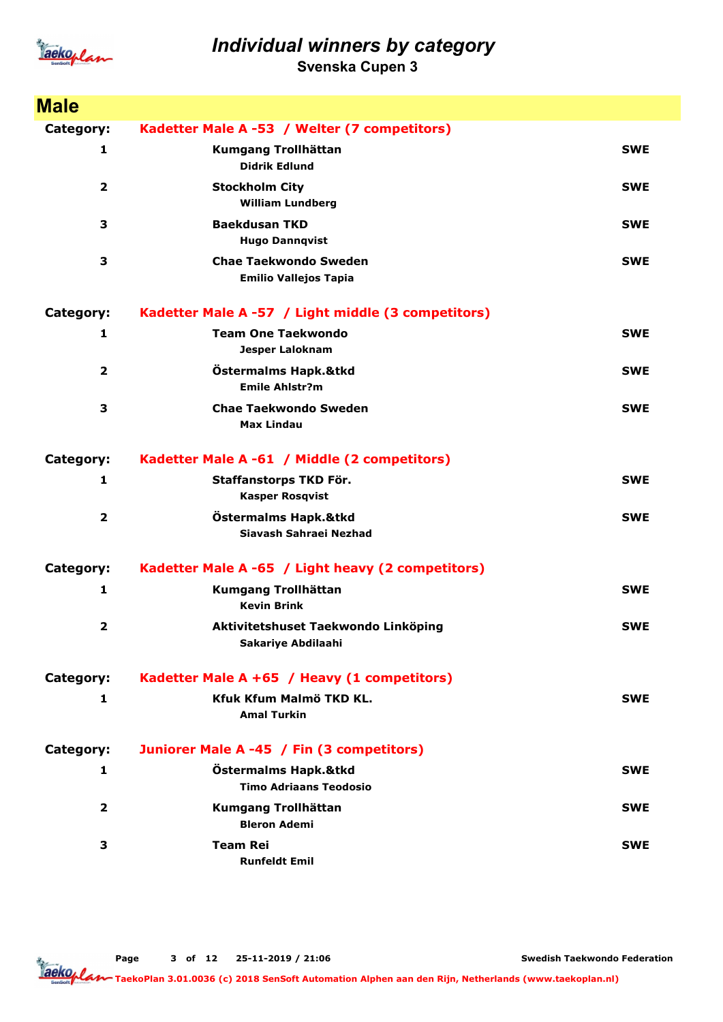

Svenska Cupen 3

| <b>Male</b>             |                                                              |            |
|-------------------------|--------------------------------------------------------------|------------|
| Category:               | Kadetter Male A -53 / Welter (7 competitors)                 |            |
| 1                       | Kumgang Trollhättan<br><b>Didrik Edlund</b>                  | <b>SWE</b> |
| 2                       | <b>Stockholm City</b><br><b>William Lundberg</b>             | <b>SWE</b> |
| 3                       | <b>Baekdusan TKD</b><br><b>Hugo Dannqvist</b>                | <b>SWE</b> |
| 3                       | <b>Chae Taekwondo Sweden</b><br><b>Emilio Vallejos Tapia</b> | <b>SWE</b> |
| Category:               | Kadetter Male A -57 / Light middle (3 competitors)           |            |
| 1                       | <b>Team One Taekwondo</b><br><b>Jesper Laloknam</b>          | <b>SWE</b> |
| $\overline{2}$          | Östermalms Hapk.&tkd<br><b>Emile Ahlstr?m</b>                | <b>SWE</b> |
| 3                       | <b>Chae Taekwondo Sweden</b><br><b>Max Lindau</b>            | <b>SWE</b> |
| Category:               | Kadetter Male A -61 / Middle (2 competitors)                 |            |
| 1                       | Staffanstorps TKD För.<br><b>Kasper Rosqvist</b>             | <b>SWE</b> |
| $\overline{\mathbf{2}}$ | Östermalms Hapk.&tkd<br>Siavash Sahraei Nezhad               | <b>SWE</b> |
| Category:               | Kadetter Male A -65 / Light heavy (2 competitors)            |            |
| 1                       | <b>Kumgang Trollhättan</b><br><b>Kevin Brink</b>             | <b>SWE</b> |
| $\overline{\mathbf{2}}$ | Aktivitetshuset Taekwondo Linköping<br>Sakariye Abdilaahi    | <b>SWE</b> |
| Category:               | Kadetter Male A +65 / Heavy (1 competitors)                  |            |
| 1                       | Kfuk Kfum Malmö TKD KL.<br><b>Amal Turkin</b>                | <b>SWE</b> |
| Category:               | Juniorer Male A -45 / Fin (3 competitors)                    |            |
| 1                       | Östermalms Hapk.&tkd<br><b>Timo Adriaans Teodosio</b>        | <b>SWE</b> |
| 2                       | Kumgang Trollhättan<br><b>Bleron Ademi</b>                   | <b>SWE</b> |
| 3                       | <b>Team Rei</b><br><b>Runfeldt Emil</b>                      | <b>SWE</b> |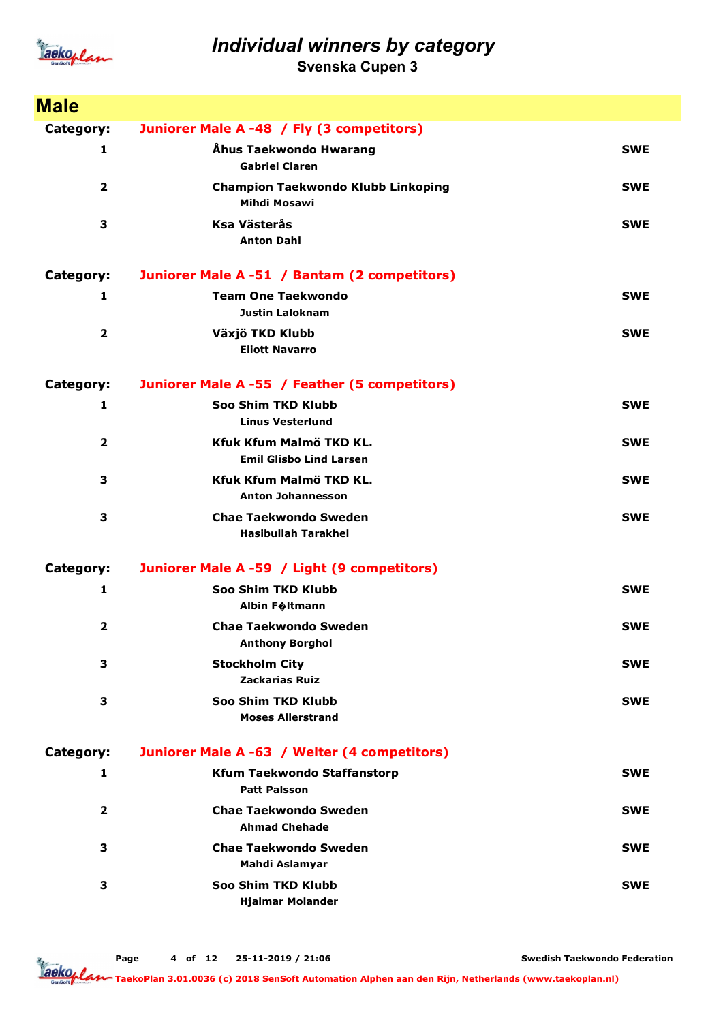

Svenska Cupen 3

| <b>Male</b>             |                                                                  |            |
|-------------------------|------------------------------------------------------------------|------------|
| Category:               | Juniorer Male A -48 / Fly (3 competitors)                        |            |
| 1                       | Åhus Taekwondo Hwarang<br><b>Gabriel Claren</b>                  | <b>SWE</b> |
| $\overline{\mathbf{2}}$ | <b>Champion Taekwondo Klubb Linkoping</b><br><b>Mihdi Mosawi</b> | <b>SWE</b> |
| 3                       | <b>Ksa Västerås</b><br><b>Anton Dahl</b>                         | <b>SWE</b> |
| Category:               | Juniorer Male A -51 / Bantam (2 competitors)                     |            |
| 1                       | <b>Team One Taekwondo</b><br><b>Justin Laloknam</b>              | <b>SWE</b> |
| $\overline{\mathbf{2}}$ | Växjö TKD Klubb<br><b>Eliott Navarro</b>                         | <b>SWE</b> |
| Category:               | Juniorer Male A -55 / Feather (5 competitors)                    |            |
| 1                       | Soo Shim TKD Klubb<br><b>Linus Vesterlund</b>                    | <b>SWE</b> |
| $\overline{\mathbf{2}}$ | Kfuk Kfum Malmö TKD KL.<br><b>Emil Glisbo Lind Larsen</b>        | <b>SWE</b> |
| 3                       | Kfuk Kfum Malmö TKD KL.<br><b>Anton Johannesson</b>              | <b>SWE</b> |
| 3                       | <b>Chae Taekwondo Sweden</b><br><b>Hasibullah Tarakhel</b>       | <b>SWE</b> |
| Category:               | Juniorer Male A -59 / Light (9 competitors)                      |            |
| 1                       | Soo Shim TKD Klubb<br><b>Albin F</b> oltmann                     | <b>SWE</b> |
| 2                       | <b>Chae Taekwondo Sweden</b><br><b>Anthony Borghol</b>           | <b>SWE</b> |
| 3                       | <b>Stockholm City</b><br><b>Zackarias Ruiz</b>                   | <b>SWE</b> |
| 3                       | Soo Shim TKD Klubb<br><b>Moses Allerstrand</b>                   | <b>SWE</b> |
| Category:               | Juniorer Male A -63 / Welter (4 competitors)                     |            |
| 1                       | <b>Kfum Taekwondo Staffanstorp</b><br><b>Patt Palsson</b>        | <b>SWE</b> |
| $\overline{2}$          | <b>Chae Taekwondo Sweden</b><br><b>Ahmad Chehade</b>             | <b>SWE</b> |
| 3                       | <b>Chae Taekwondo Sweden</b><br>Mahdi Aslamyar                   | <b>SWE</b> |
| 3                       | Soo Shim TKD Klubb<br><b>Hjalmar Molander</b>                    | <b>SWE</b> |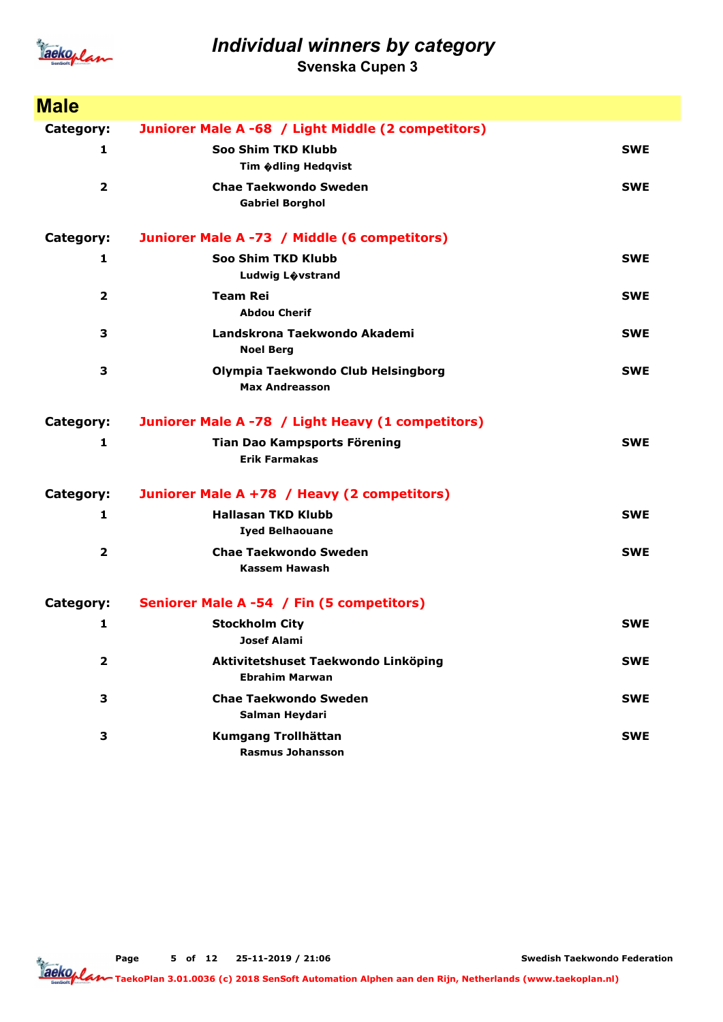

Svenska Cupen 3

| <b>Male</b>    |                                                              |            |
|----------------|--------------------------------------------------------------|------------|
| Category:      | Juniorer Male A -68 / Light Middle (2 competitors)           |            |
| 1              | Soo Shim TKD Klubb                                           | <b>SWE</b> |
|                | Tim Odling Hedgvist                                          |            |
| $\overline{2}$ | <b>Chae Taekwondo Sweden</b><br><b>Gabriel Borghol</b>       | <b>SWE</b> |
|                |                                                              |            |
| Category:      | Juniorer Male A -73 / Middle (6 competitors)                 |            |
| 1              | Soo Shim TKD Klubb                                           | <b>SWE</b> |
|                | Ludwig Lovstrand                                             |            |
| $\overline{2}$ | <b>Team Rei</b><br><b>Abdou Cherif</b>                       | <b>SWE</b> |
| 3              | Landskrona Taekwondo Akademi<br><b>Noel Berg</b>             | <b>SWE</b> |
| 3              | Olympia Taekwondo Club Helsingborg<br><b>Max Andreasson</b>  | <b>SWE</b> |
| Category:      | Juniorer Male A -78 / Light Heavy (1 competitors)            |            |
| 1              | Tian Dao Kampsports Förening<br><b>Erik Farmakas</b>         | <b>SWE</b> |
| Category:      | Juniorer Male A +78 / Heavy (2 competitors)                  |            |
| 1              | <b>Hallasan TKD Klubb</b><br><b>Iyed Belhaouane</b>          | <b>SWE</b> |
| $\overline{2}$ | <b>Chae Taekwondo Sweden</b><br><b>Kassem Hawash</b>         | <b>SWE</b> |
| Category:      | Seniorer Male A -54 / Fin (5 competitors)                    |            |
| 1              | <b>Stockholm City</b><br>Josef Alami                         | <b>SWE</b> |
| 2              | Aktivitetshuset Taekwondo Linköping<br><b>Ebrahim Marwan</b> | <b>SWE</b> |
| З              | <b>Chae Taekwondo Sweden</b><br>Salman Heydari               | <b>SWE</b> |
| З              | Kumgang Trollhättan<br><b>Rasmus Johansson</b>               | <b>SWE</b> |

Page 5 of 12 25-11-2019 / 21:06

Swedish Taekwondo Federation

Taeko<br>Taekoplan 3.01.0036 (c) 2018 SenSoft Automation Alphen aan den Rijn, Netherlands (www.taekoplan.nl)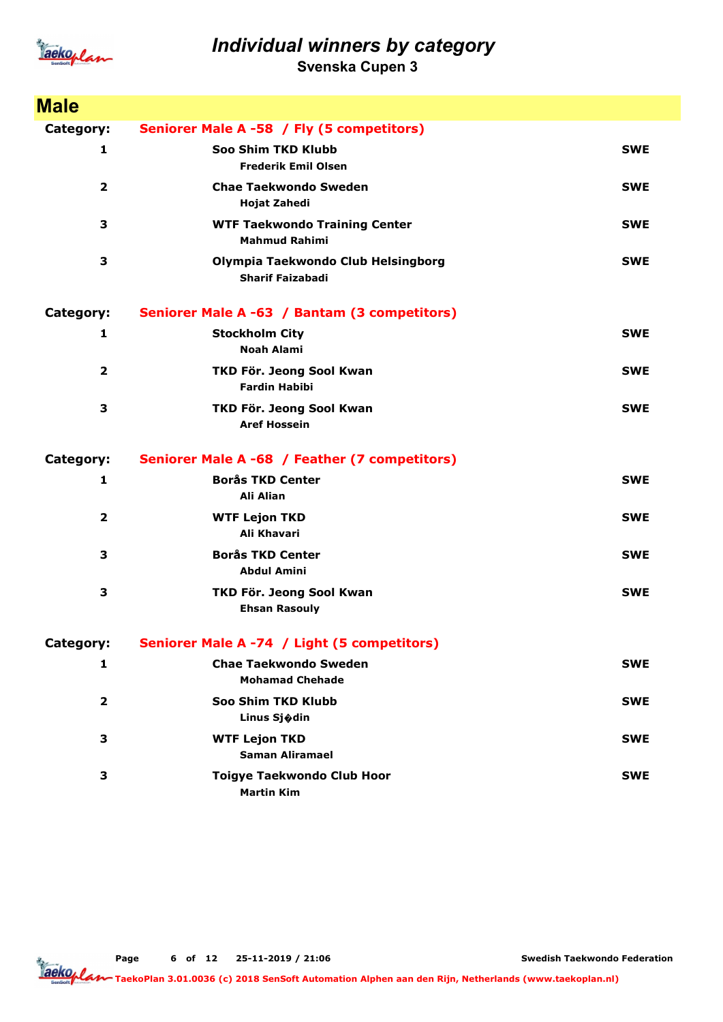

Svenska Cupen 3

| <b>Male</b>             |                                                               |            |
|-------------------------|---------------------------------------------------------------|------------|
| Category:               | Seniorer Male A -58 / Fly (5 competitors)                     |            |
| 1                       | Soo Shim TKD Klubb<br><b>Frederik Emil Olsen</b>              | <b>SWE</b> |
| $\overline{2}$          | <b>Chae Taekwondo Sweden</b><br>Hojat Zahedi                  | <b>SWE</b> |
| 3                       | <b>WTF Taekwondo Training Center</b><br><b>Mahmud Rahimi</b>  | <b>SWE</b> |
| 3                       | Olympia Taekwondo Club Helsingborg<br><b>Sharif Faizabadi</b> | <b>SWE</b> |
| Category:               | Seniorer Male A -63 / Bantam (3 competitors)                  |            |
| 1                       | <b>Stockholm City</b><br><b>Noah Alami</b>                    | <b>SWE</b> |
| $\overline{2}$          | TKD För. Jeong Sool Kwan<br><b>Fardin Habibi</b>              | <b>SWE</b> |
| З                       | TKD För. Jeong Sool Kwan<br><b>Aref Hossein</b>               | <b>SWE</b> |
| Category:               | Seniorer Male A -68 / Feather (7 competitors)                 |            |
| 1                       | <b>Borås TKD Center</b><br>Ali Alian                          | <b>SWE</b> |
| $\overline{\mathbf{2}}$ | <b>WTF Lejon TKD</b><br>Ali Khavari                           | <b>SWE</b> |
| 3                       | <b>Borås TKD Center</b><br><b>Abdul Amini</b>                 | <b>SWE</b> |
| 3                       | TKD För. Jeong Sool Kwan<br><b>Ehsan Rasouly</b>              | <b>SWE</b> |
| Category:               | Seniorer Male A -74 / Light (5 competitors)                   |            |
| 1                       | <b>Chae Taekwondo Sweden</b><br><b>Mohamad Chehade</b>        | <b>SWE</b> |
| 2                       | Soo Shim TKD Klubb<br>Linus Sjødin                            | <b>SWE</b> |
| З                       | <b>WTF Lejon TKD</b><br><b>Saman Aliramael</b>                | <b>SWE</b> |
| 3                       | <b>Toigye Taekwondo Club Hoor</b><br><b>Martin Kim</b>        | <b>SWE</b> |

Page 6 of 12 25-11-2019 / 21:06

Swedish Taekwondo Federation

Taeko<br>Taekoplan 3.01.0036 (c) 2018 SenSoft Automation Alphen aan den Rijn, Netherlands (www.taekoplan.nl)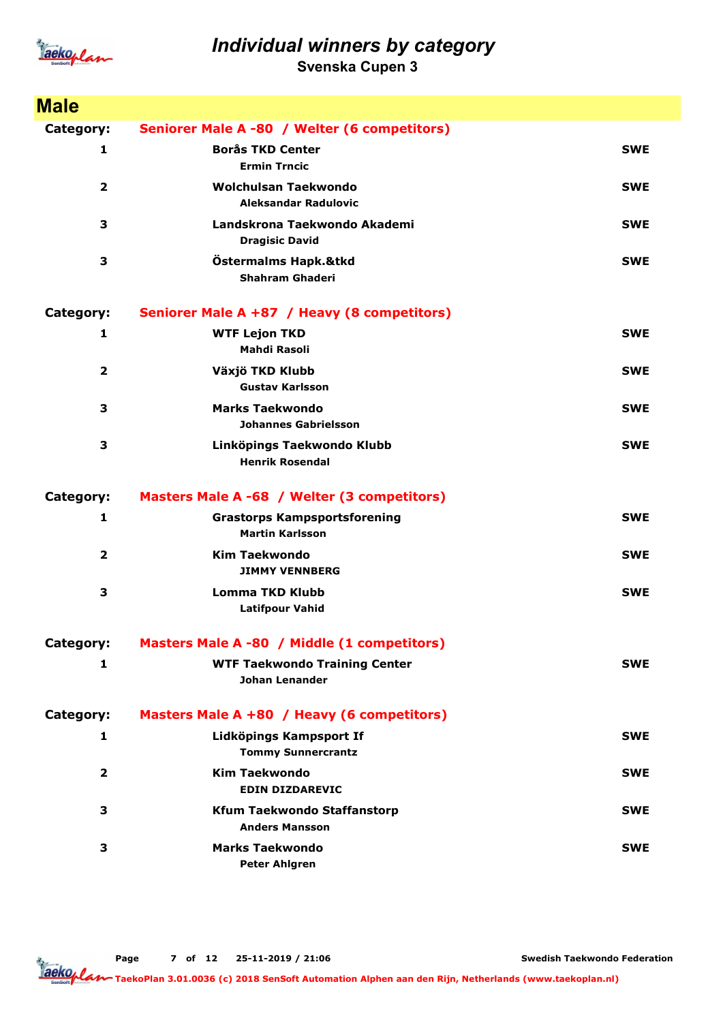

Svenska Cupen 3

| <b>Male</b>             |                                                               |            |
|-------------------------|---------------------------------------------------------------|------------|
| Category:               | Seniorer Male A -80 / Welter (6 competitors)                  |            |
| 1                       | <b>Borås TKD Center</b><br><b>Ermin Trncic</b>                | <b>SWE</b> |
| $\overline{\mathbf{2}}$ | <b>Wolchulsan Taekwondo</b><br><b>Aleksandar Radulovic</b>    | <b>SWE</b> |
| 3                       | Landskrona Taekwondo Akademi<br><b>Dragisic David</b>         | <b>SWE</b> |
| 3                       | Östermalms Hapk.&tkd<br><b>Shahram Ghaderi</b>                | <b>SWE</b> |
| Category:               | Seniorer Male A +87 / Heavy (8 competitors)                   |            |
| 1                       | <b>WTF Lejon TKD</b><br>Mahdi Rasoli                          | <b>SWE</b> |
| $\overline{2}$          | Växjö TKD Klubb<br><b>Gustav Karlsson</b>                     | <b>SWE</b> |
| 3                       | <b>Marks Taekwondo</b><br><b>Johannes Gabrielsson</b>         | <b>SWE</b> |
| 3                       | Linköpings Taekwondo Klubb<br><b>Henrik Rosendal</b>          | <b>SWE</b> |
| Category:               | Masters Male A -68 / Welter (3 competitors)                   |            |
| 1                       | <b>Grastorps Kampsportsforening</b><br><b>Martin Karlsson</b> | <b>SWE</b> |
| $\overline{\mathbf{2}}$ | <b>Kim Taekwondo</b><br><b>JIMMY VENNBERG</b>                 | <b>SWE</b> |
| 3                       | <b>Lomma TKD Klubb</b><br><b>Latifpour Vahid</b>              | <b>SWE</b> |
| Category:               | Masters Male A -80 / Middle (1 competitors)                   |            |
| 1                       | <b>WTF Taekwondo Training Center</b><br><b>Johan Lenander</b> | <b>SWE</b> |
| Category:               | Masters Male A +80 / Heavy (6 competitors)                    |            |
| 1                       | Lidköpings Kampsport If<br><b>Tommy Sunnercrantz</b>          | <b>SWE</b> |
| $\overline{2}$          | <b>Kim Taekwondo</b><br><b>EDIN DIZDAREVIC</b>                | <b>SWE</b> |
| 3                       | <b>Kfum Taekwondo Staffanstorp</b><br><b>Anders Mansson</b>   | <b>SWE</b> |
| 3                       | <b>Marks Taekwondo</b><br><b>Peter Ahlgren</b>                | <b>SWE</b> |

Page 7 of 12 25-11-2019 / 21:06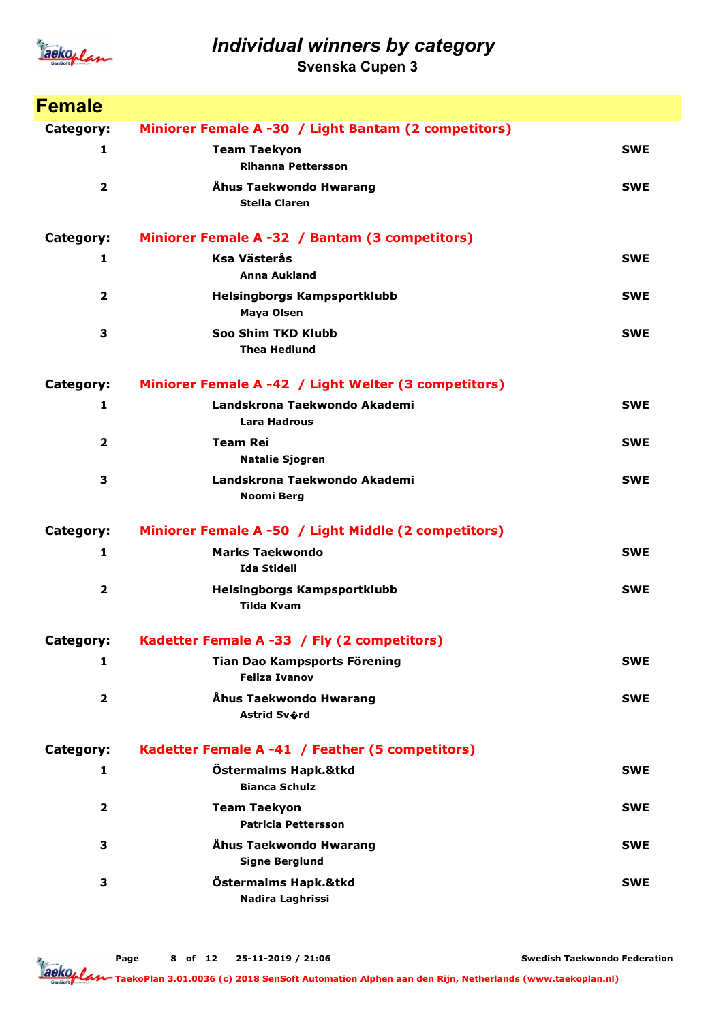

Svenska Cupen 3

| <b>Female</b>           |                                                      |            |
|-------------------------|------------------------------------------------------|------------|
| Category:               | Miniorer Female A -30 / Light Bantam (2 competitors) |            |
| 1                       | <b>Team Taekyon</b><br><b>Rihanna Pettersson</b>     | <b>SWE</b> |
| $\overline{2}$          | Åhus Taekwondo Hwarang<br><b>Stella Claren</b>       | <b>SWE</b> |
| Category:               | Miniorer Female A -32 / Bantam (3 competitors)       |            |
| 1                       | Ksa Västerås<br><b>Anna Aukland</b>                  | <b>SWE</b> |
| $\overline{2}$          | Helsingborgs Kampsportklubb<br><b>Maya Olsen</b>     | <b>SWE</b> |
| 3                       | Soo Shim TKD Klubb<br><b>Thea Hedlund</b>            | <b>SWE</b> |
| Category:               | Miniorer Female A -42 / Light Welter (3 competitors) |            |
| 1                       | Landskrona Taekwondo Akademi<br><b>Lara Hadrous</b>  | <b>SWE</b> |
| $\overline{2}$          | <b>Team Rei</b><br><b>Natalie Sjogren</b>            | <b>SWE</b> |
| 3                       | Landskrona Taekwondo Akademi<br>Noomi Berg           | <b>SWE</b> |
| Category:               | Miniorer Female A -50 / Light Middle (2 competitors) |            |
| 1                       | <b>Marks Taekwondo</b><br><b>Ida Stidell</b>         | <b>SWE</b> |
| $\overline{\mathbf{2}}$ | Helsingborgs Kampsportklubb<br><b>Tilda Kvam</b>     | <b>SWE</b> |
| Category:               | Kadetter Female A -33 / Fly (2 competitors)          |            |
| 1                       | Tian Dao Kampsports Förening<br><b>Feliza Ivanov</b> | <b>SWE</b> |
| 2                       | Åhus Taekwondo Hwarang<br>Astrid Sv�rd               | <b>SWE</b> |
| Category:               | Kadetter Female A -41 / Feather (5 competitors)      |            |
| 1                       | Östermalms Hapk.&tkd<br><b>Bianca Schulz</b>         | <b>SWE</b> |
| 2                       | <b>Team Taekyon</b><br><b>Patricia Pettersson</b>    | <b>SWE</b> |
| 3                       | Åhus Taekwondo Hwarang<br><b>Signe Berglund</b>      | <b>SWE</b> |
| З                       | Östermalms Hapk.&tkd<br>Nadira Laghrissi             | <b>SWE</b> |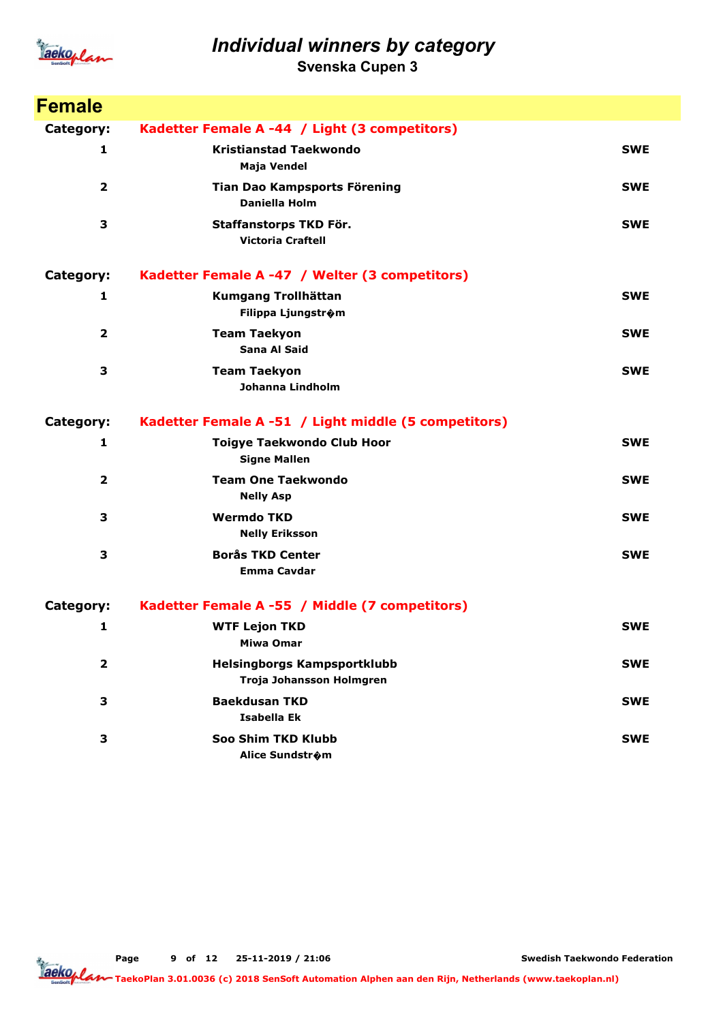

Svenska Cupen 3

| <b>Female</b>           |                                                                |            |
|-------------------------|----------------------------------------------------------------|------------|
| Category:               | Kadetter Female A -44 / Light (3 competitors)                  |            |
| 1                       | <b>Kristianstad Taekwondo</b><br>Maja Vendel                   | <b>SWE</b> |
| 2                       | Tian Dao Kampsports Förening<br><b>Daniella Holm</b>           | <b>SWE</b> |
| 3                       | Staffanstorps TKD För.<br><b>Victoria Craftell</b>             | <b>SWE</b> |
| Category:               | Kadetter Female A -47 / Welter (3 competitors)                 |            |
| 1                       | Kumgang Trollhättan<br>Filippa Ljungstr�m                      | <b>SWE</b> |
| 2                       | <b>Team Taekyon</b><br>Sana Al Said                            | <b>SWE</b> |
| 3                       | <b>Team Taekyon</b><br>Johanna Lindholm                        | <b>SWE</b> |
| Category:               | Kadetter Female A -51 / Light middle (5 competitors)           |            |
| 1                       | <b>Toigye Taekwondo Club Hoor</b><br><b>Signe Mallen</b>       | <b>SWE</b> |
| $\overline{\mathbf{2}}$ | <b>Team One Taekwondo</b><br><b>Nelly Asp</b>                  | <b>SWE</b> |
| 3                       | <b>Wermdo TKD</b><br><b>Nelly Eriksson</b>                     | <b>SWE</b> |
| 3                       | <b>Borås TKD Center</b><br><b>Emma Cavdar</b>                  | <b>SWE</b> |
| Category:               | Kadetter Female A -55 / Middle (7 competitors)                 |            |
| 1                       | <b>WTF Lejon TKD</b><br><b>Miwa Omar</b>                       | <b>SWE</b> |
| $\mathbf{2}$            | <b>Helsingborgs Kampsportklubb</b><br>Troja Johansson Holmgren | <b>SWE</b> |
| 3                       | <b>Baekdusan TKD</b><br>Isabella Ek                            | <b>SWE</b> |
| 3                       | Soo Shim TKD Klubb<br>Alice Sundstrom                          | <b>SWE</b> |

Page 9 of 12 25-11-2019 / 21:06

Swedish Taekwondo Federation

TaekoPlan 3.01.0036 (c) 2018 SenSoft Automation Alphen aan den Rijn, Netherlands (www.taekoplan.nl)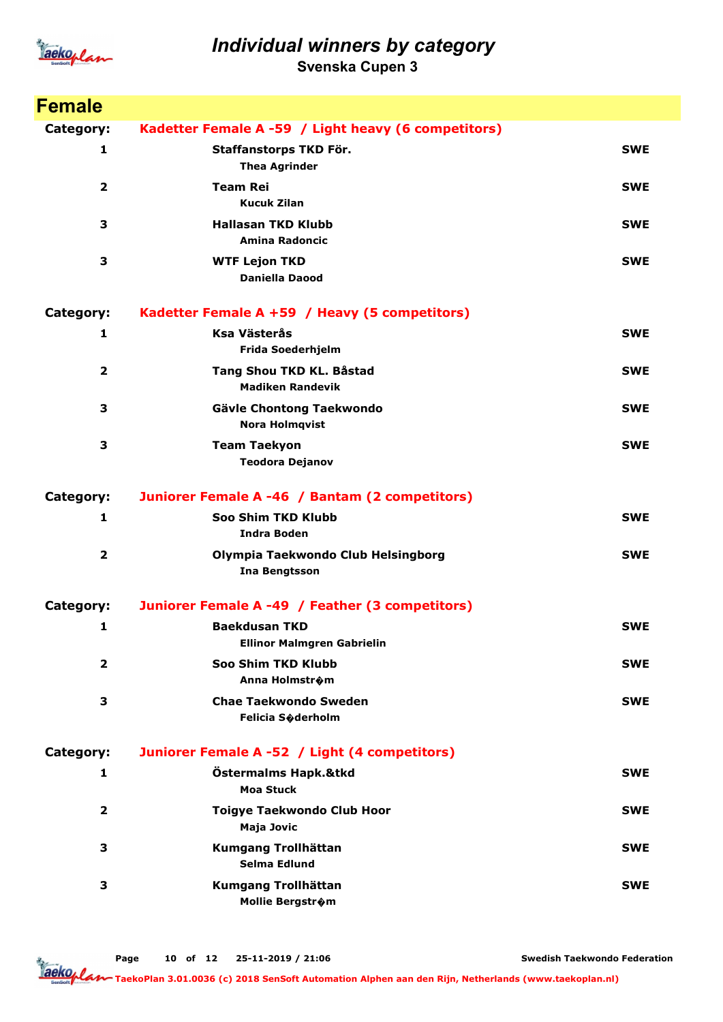

Svenska Cupen 3

| <b>Female</b>           |                                                            |            |
|-------------------------|------------------------------------------------------------|------------|
| Category:               | Kadetter Female A -59 / Light heavy (6 competitors)        |            |
| 1                       | Staffanstorps TKD För.<br><b>Thea Agrinder</b>             | <b>SWE</b> |
| $\overline{\mathbf{2}}$ | <b>Team Rei</b><br><b>Kucuk Zilan</b>                      | <b>SWE</b> |
| 3                       | <b>Hallasan TKD Klubb</b><br><b>Amina Radoncic</b>         | <b>SWE</b> |
| 3                       | <b>WTF Lejon TKD</b><br><b>Daniella Daood</b>              | <b>SWE</b> |
| Category:               | Kadetter Female A +59 / Heavy (5 competitors)              |            |
| 1                       | <b>Ksa Västerås</b><br>Frida Soederhjelm                   | <b>SWE</b> |
| $\overline{2}$          | Tang Shou TKD KL. Båstad<br><b>Madiken Randevik</b>        | <b>SWE</b> |
| 3                       | Gävle Chontong Taekwondo<br><b>Nora Holmqvist</b>          | <b>SWE</b> |
| 3                       | <b>Team Taekyon</b><br><b>Teodora Dejanov</b>              | <b>SWE</b> |
| Category:               | Juniorer Female A -46 / Bantam (2 competitors)             |            |
| 1                       | Soo Shim TKD Klubb<br><b>Indra Boden</b>                   | <b>SWE</b> |
| 2                       | Olympia Taekwondo Club Helsingborg<br><b>Ina Bengtsson</b> | <b>SWE</b> |
| Category:               | Juniorer Female A -49 / Feather (3 competitors)            |            |
| 1                       | <b>Baekdusan TKD</b><br><b>Ellinor Malmgren Gabrielin</b>  | <b>SWE</b> |
| $\overline{2}$          | Soo Shim TKD Klubb<br>Anna Holmstr�m                       | <b>SWE</b> |
| 3                       | <b>Chae Taekwondo Sweden</b><br>Felicia Soderholm          | <b>SWE</b> |
| Category:               | Juniorer Female A -52 / Light (4 competitors)              |            |
| 1                       | Östermalms Hapk.&tkd<br><b>Moa Stuck</b>                   | <b>SWE</b> |
| $\overline{2}$          | <b>Toigye Taekwondo Club Hoor</b><br><b>Maja Jovic</b>     | <b>SWE</b> |
| 3                       | Kumgang Trollhättan<br>Selma Edlund                        | <b>SWE</b> |
| 3                       | Kumgang Trollhättan<br>Mollie Bergstrom                    | <b>SWE</b> |

Page 10 of 12 25-11-2019 / 21:06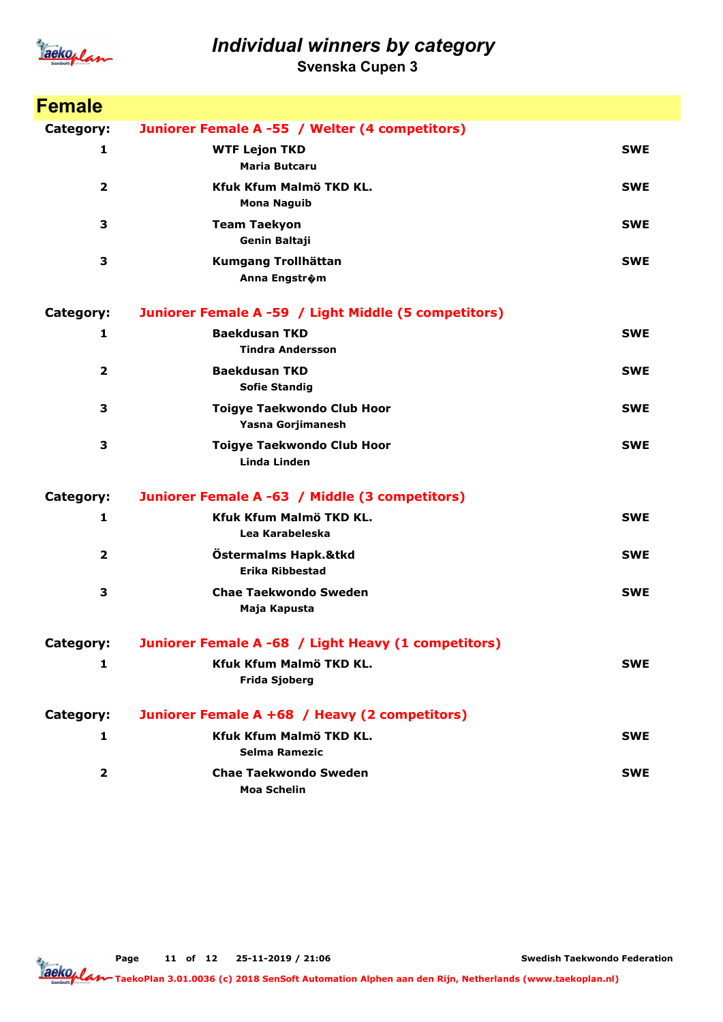

Svenska Cupen 3

| <b>Female</b>  |                                                        |            |
|----------------|--------------------------------------------------------|------------|
| Category:      | Juniorer Female A -55 / Welter (4 competitors)         |            |
| 1              | <b>WTF Lejon TKD</b><br><b>Maria Butcaru</b>           | <b>SWE</b> |
| $\mathbf{2}$   | Kfuk Kfum Malmö TKD KL.<br><b>Mona Naguib</b>          | <b>SWE</b> |
| 3              | <b>Team Taekyon</b><br>Genin Baltaji                   | <b>SWE</b> |
| 3              | Kumgang Trollhättan<br>Anna Engstr�m                   | <b>SWE</b> |
| Category:      | Juniorer Female A -59 / Light Middle (5 competitors)   |            |
| $\mathbf{1}$   | <b>Baekdusan TKD</b><br><b>Tindra Andersson</b>        | <b>SWE</b> |
| $\overline{2}$ | <b>Baekdusan TKD</b><br><b>Sofie Standig</b>           | <b>SWE</b> |
| 3              | <b>Toigye Taekwondo Club Hoor</b><br>Yasna Gorjimanesh | <b>SWE</b> |
| 3              | <b>Toigye Taekwondo Club Hoor</b><br>Linda Linden      | <b>SWE</b> |
| Category:      | Juniorer Female A -63 / Middle (3 competitors)         |            |
| 1              | Kfuk Kfum Malmö TKD KL.<br>Lea Karabeleska             | <b>SWE</b> |
| $\overline{2}$ | Östermalms Hapk.&tkd<br>Erika Ribbestad                | <b>SWE</b> |
| 3              | <b>Chae Taekwondo Sweden</b><br>Maja Kapusta           | <b>SWE</b> |
| Category:      | Juniorer Female A -68 / Light Heavy (1 competitors)    |            |
| 1              | Kfuk Kfum Malmö TKD KL.<br><b>Frida Sjoberg</b>        | <b>SWE</b> |
| Category:      | Juniorer Female A +68 / Heavy (2 competitors)          |            |
| 1              | <b>Kfuk Kfum Malmö TKD KL.</b><br>Selma Ramezic        | <b>SWE</b> |
| 2              | <b>Chae Taekwondo Sweden</b><br><b>Moa Schelin</b>     | <b>SWE</b> |

Page 11 of 12 25-11-2019 / 21:06

Swedish Taekwondo Federation

TaekoPlan 3.01.0036 (c) 2018 SenSoft Automation Alphen aan den Rijn, Netherlands (www.taekoplan.nl)